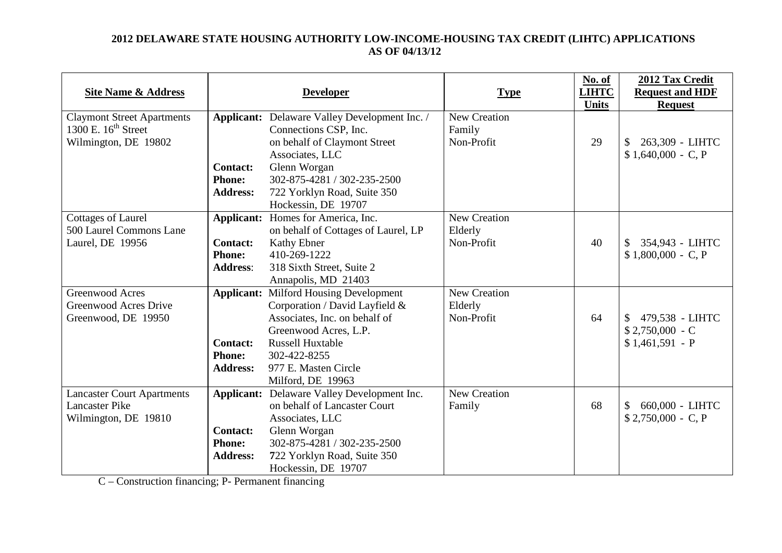## **2012 DELAWARE STATE HOUSING AUTHORITY LOW-INCOME-HOUSING TAX CREDIT (LIHTC) APPLICATIONS AS OF 04/13/12**

| <b>Site Name &amp; Address</b>    |                 | <b>Developer</b>                                     | <b>Type</b>         | No. of<br><b>LIHTC</b><br><b>Units</b> | 2012 Tax Credit<br><b>Request and HDF</b><br><b>Request</b> |
|-----------------------------------|-----------------|------------------------------------------------------|---------------------|----------------------------------------|-------------------------------------------------------------|
| <b>Claymont Street Apartments</b> |                 | <b>Applicant:</b> Delaware Valley Development Inc. / | <b>New Creation</b> |                                        |                                                             |
| 1300 E. $16th$ Street             |                 | Connections CSP, Inc.                                | Family              |                                        |                                                             |
| Wilmington, DE 19802              |                 | on behalf of Claymont Street                         | Non-Profit          | 29                                     | 263,309 - LIHTC                                             |
|                                   |                 | Associates, LLC                                      |                     |                                        | $$1,640,000 - C, P$                                         |
|                                   | <b>Contact:</b> | Glenn Worgan                                         |                     |                                        |                                                             |
|                                   | <b>Phone:</b>   | 302-875-4281 / 302-235-2500                          |                     |                                        |                                                             |
|                                   | <b>Address:</b> | 722 Yorklyn Road, Suite 350                          |                     |                                        |                                                             |
|                                   |                 | Hockessin, DE 19707                                  |                     |                                        |                                                             |
| <b>Cottages of Laurel</b>         |                 | Applicant: Homes for America, Inc.                   | New Creation        |                                        |                                                             |
| 500 Laurel Commons Lane           |                 | on behalf of Cottages of Laurel, LP                  | Elderly             |                                        |                                                             |
| Laurel, DE 19956                  | <b>Contact:</b> | Kathy Ebner                                          | Non-Profit          | 40                                     | 354,943 - LIHTC<br>\$                                       |
|                                   | <b>Phone:</b>   | 410-269-1222                                         |                     |                                        | $$1,800,000 - C, P$                                         |
|                                   | <b>Address:</b> | 318 Sixth Street, Suite 2                            |                     |                                        |                                                             |
|                                   |                 | Annapolis, MD 21403                                  |                     |                                        |                                                             |
| Greenwood Acres                   |                 | <b>Applicant:</b> Milford Housing Development        | New Creation        |                                        |                                                             |
| <b>Greenwood Acres Drive</b>      |                 | Corporation / David Layfield &                       | Elderly             |                                        |                                                             |
| Greenwood, DE 19950               |                 | Associates, Inc. on behalf of                        | Non-Profit          | 64                                     | 479,538 - LIHTC                                             |
|                                   |                 | Greenwood Acres, L.P.                                |                     |                                        | $$2,750,000 - C$                                            |
|                                   | <b>Contact:</b> | <b>Russell Huxtable</b>                              |                     |                                        | $$1,461,591 - P$                                            |
|                                   | <b>Phone:</b>   | 302-422-8255                                         |                     |                                        |                                                             |
|                                   | <b>Address:</b> | 977 E. Masten Circle                                 |                     |                                        |                                                             |
|                                   |                 | Milford, DE 19963                                    |                     |                                        |                                                             |
| <b>Lancaster Court Apartments</b> |                 | <b>Applicant:</b> Delaware Valley Development Inc.   | <b>New Creation</b> |                                        |                                                             |
| <b>Lancaster Pike</b>             |                 | on behalf of Lancaster Court                         | Family              | 68                                     | 660,000 - LIHTC<br>\$                                       |
| Wilmington, DE 19810              |                 | Associates, LLC                                      |                     |                                        | $$2,750,000 - C, P$                                         |
|                                   | <b>Contact:</b> | Glenn Worgan                                         |                     |                                        |                                                             |
|                                   | <b>Phone:</b>   | 302-875-4281 / 302-235-2500                          |                     |                                        |                                                             |
|                                   | <b>Address:</b> | 722 Yorklyn Road, Suite 350                          |                     |                                        |                                                             |
|                                   |                 | Hockessin, DE 19707                                  |                     |                                        |                                                             |

C – Construction financing; P- Permanent financing